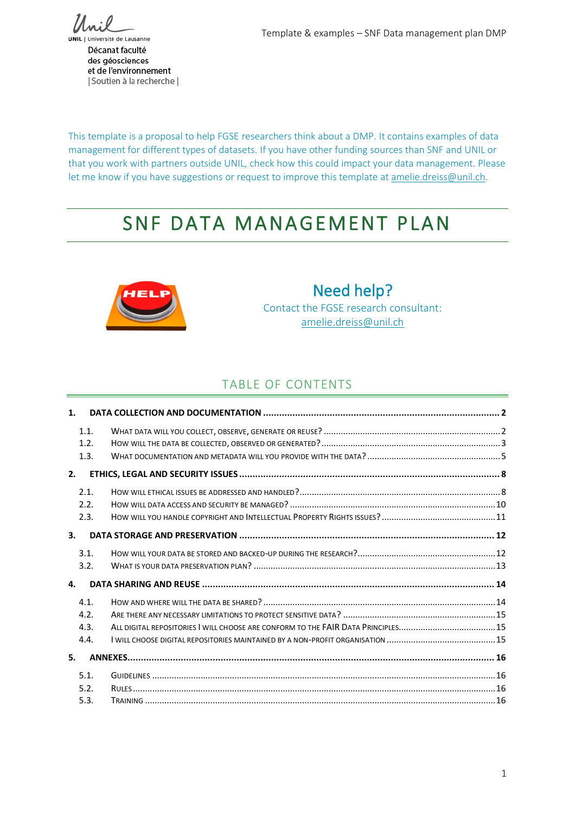UNI Université de Lausanne Décanat faculté des géosciences et de l'environnement Soutien à la recherche |

This template is a proposal to help FGSE researchers think about a DMP. It contains examples of data management for different types of datasets. If you have other funding sources than SNF and UNIL or that you work with partners outside UNIL, check how this could impact your data management. Please let me know if you have suggestions or request to improve this template a[t amelie.dreiss@unil.ch.](mailto:amelie.dreiss@unil.ch)

# SNF DATA MANAGEMENT PLAN



Need help? Contact the FGSE research consultant: [amelie.dreiss@unil.ch](mailto:amelie.dreiss@unil.ch)

# TABLE OF CONTENTS

| 1. |      |                                                                                  |  |
|----|------|----------------------------------------------------------------------------------|--|
|    | 1.1. |                                                                                  |  |
|    | 1.2. |                                                                                  |  |
|    | 1.3. |                                                                                  |  |
| 2. |      |                                                                                  |  |
|    | 2.1. |                                                                                  |  |
|    | 2.2. |                                                                                  |  |
|    | 2.3. |                                                                                  |  |
| 3. |      |                                                                                  |  |
|    | 3.1. |                                                                                  |  |
|    | 3.2. |                                                                                  |  |
| 4. |      |                                                                                  |  |
|    | 4.1. |                                                                                  |  |
|    | 4.2. |                                                                                  |  |
|    | 4.3. | ALL DIGITAL REPOSITORIES   WILL CHOOSE ARE CONFORM TO THE FAIR DATA PRINCIPLES15 |  |
|    | 4.4. |                                                                                  |  |
| 5. |      |                                                                                  |  |
|    | 5.1. |                                                                                  |  |
|    | 5.2. |                                                                                  |  |
|    | 5.3. |                                                                                  |  |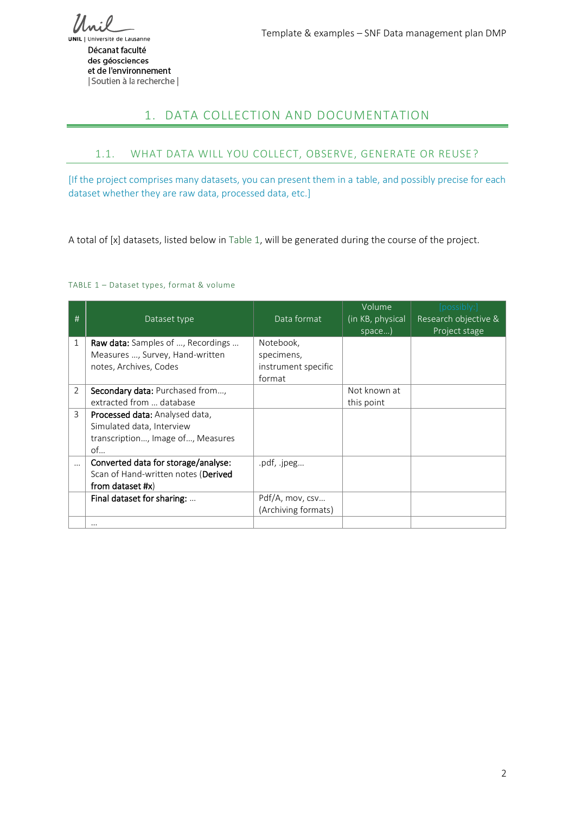Université de Lausanne UNI Décanat faculté des géosciences et de l'environnement Soutien à la recherche |

# 1. DATA COLLECTION AND DOCUMENTATION

### <span id="page-1-1"></span><span id="page-1-0"></span>1.1. WHAT DATA WILL YOU COLLECT, OBSERVE, GENERATE OR REUSE ?

[If the project comprises many datasets, you can present them in a table, and possibly precise for each dataset whether they are raw data, processed data, etc.]

A total of [x] datasets, listed below i[n Table 1,](#page-1-2) will be generated during the course of the project.

#### <span id="page-1-2"></span>TABLE 1 – Dataset types, format & volume

| #              | Dataset type                                                                                           | Data format                                              | Volume<br>(in KB, physical<br>space) | [possibly!]<br>Research objective &<br>Project stage |
|----------------|--------------------------------------------------------------------------------------------------------|----------------------------------------------------------|--------------------------------------|------------------------------------------------------|
| 1              | <b>Raw data:</b> Samples of , Recordings<br>Measures , Survey, Hand-written<br>notes, Archives, Codes  | Notebook,<br>specimens,<br>instrument specific<br>format |                                      |                                                      |
| $\overline{2}$ | <b>Secondary data: Purchased from,</b><br>extracted from  database                                     |                                                          | Not known at<br>this point           |                                                      |
| 3              | Processed data: Analysed data,<br>Simulated data, Interview<br>transcription, Image of, Measures<br>of |                                                          |                                      |                                                      |
| $\cdots$       | Converted data for storage/analyse:<br>Scan of Hand-written notes (Derived<br>from dataset $#x$ )      | .pdf, .jpeg                                              |                                      |                                                      |
|                | Final dataset for sharing:                                                                             | Pdf/A, mov, csv<br>(Archiving formats)                   |                                      |                                                      |
|                | $\cdots$                                                                                               |                                                          |                                      |                                                      |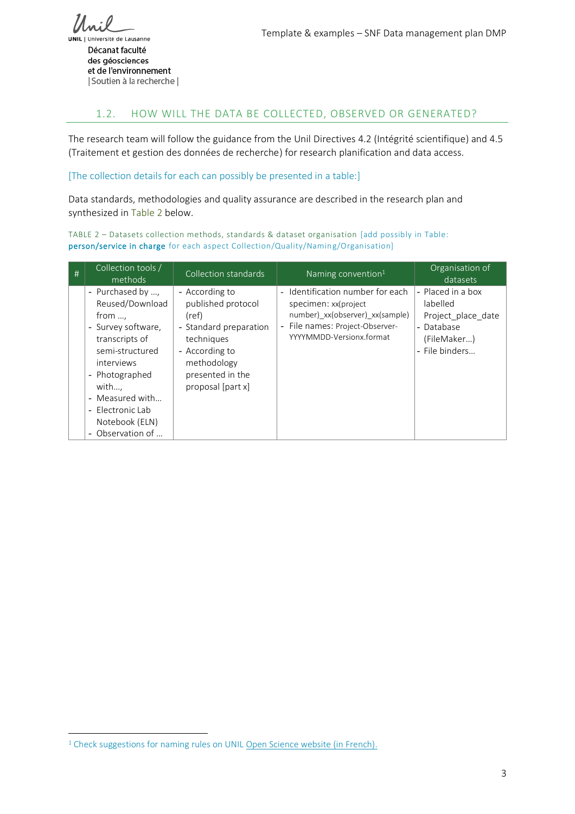Université de Lausanne Décanat faculté des géosciences et de l'environnement Soutien à la recherche |

#### 1.2. HOW WILL THE DATA BE COLLECTED, OBSERVED OR GENERATED?

<span id="page-2-0"></span>The research team will follow the guidance from the Unil Directives 4.2 (Intégrité scientifique) and 4.5 (Traitement et gestion des données de recherche) for research planification and data access.

#### [The collection details for each can possibly be presented in a table:]

Data standards, methodologies and quality assurance are described in the research plan and synthesized i[n Table 2](#page-2-1) below.

<span id="page-2-1"></span>TABLE 2 – Datasets collection methods, standards & dataset organisation [add possibly in Table: person/service in charge for each aspect Collection/Quality/Naming/Organisation]

| # | Collection tools /<br>methods                                                                                                                                                                                                | Collection standards                                                                                                                                            | Naming convention $1$                                                                                                                                                                                          | Organisation of<br>datasets                                                                        |
|---|------------------------------------------------------------------------------------------------------------------------------------------------------------------------------------------------------------------------------|-----------------------------------------------------------------------------------------------------------------------------------------------------------------|----------------------------------------------------------------------------------------------------------------------------------------------------------------------------------------------------------------|----------------------------------------------------------------------------------------------------|
|   | - Purchased by ,<br>Reused/Download<br>from ,<br>- Survey software,<br>transcripts of<br>semi-structured<br>interviews<br>- Photographed<br>with,<br>- Measured with<br>- Electronic Lab<br>Notebook (ELN)<br>Observation of | - According to<br>published protocol<br>(ref)<br>- Standard preparation<br>techniques<br>- According to<br>methodology<br>presented in the<br>proposal [part x] | Identification number for each<br>$\overline{\phantom{0}}$<br>specimen: xx(project<br>number) xx(observer) xx(sample)<br>File names: Project-Observer-<br>$\overline{\phantom{a}}$<br>YYYYMMDD-Versionx.format | - Placed in a box<br>labelled<br>Project place date<br>- Database<br>(FileMaker)<br>- File binders |

<sup>&</sup>lt;sup>1</sup> Check suggestions for naming rules on UNI[L Open Science website \(in French\).](https://www.unil.ch/openscience/files/live/sites/openscience/files/Donnees_de_recherche/Files/GC_Organiser_ses_donnees_Regles_Nommage_2019.pdf)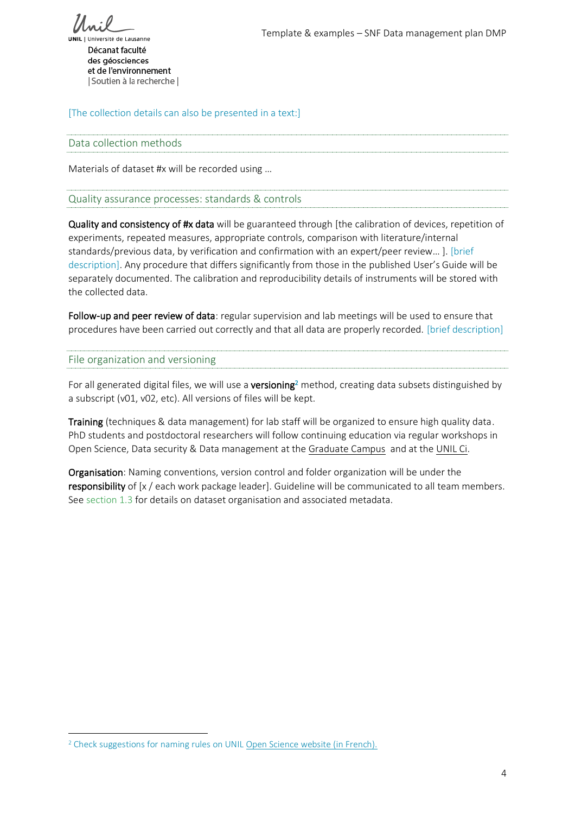Jniversité de Lausanne Décanat faculté des géosciences et de l'environnement Soutien à la recherche |

[The collection details can also be presented in a text:]

#### Data collection methods

Materials of dataset #x will be recorded using …

#### Quality assurance processes: standards & controls

Quality and consistency of #x data will be guaranteed through [the calibration of devices, repetition of experiments, repeated measures, appropriate controls, comparison with literature/internal standards/previous data, by verification and confirmation with an expert/peer review… ]. [brief description]. Any procedure that differs significantly from those in the published User's Guide will be separately documented. The calibration and reproducibility details of instruments will be stored with the collected data.

Follow-up and peer review of data: regular supervision and lab meetings will be used to ensure that procedures have been carried out correctly and that all data are properly recorded. [brief description]

#### File organization and versioning

For all generated digital files, we will use a **versioning**<sup>2</sup> method, creating data subsets distinguished by a subscript (v01, v02, etc). All versions of files will be kept.

Training (techniques & data management) for lab staff will be organized to ensure high quality data. PhD students and postdoctoral researchers will follow continuing education via regular workshops in Open Science, Data security & Data management at the [Graduate Campus](https://www.graduatecampus.ch/en/activities/) and at the [UNIL Ci.](https://www.unil.ch/ci/cours-personnel)

Organisation: Naming conventions, version control and folder organization will be under the responsibility of [x / each work package leader]. Guideline will be communicated to all team members. See section [1.3](#page-4-0) for details on dataset organisation and associated metadata.

<sup>&</sup>lt;sup>2</sup> Check suggestions for naming rules on UNI[L Open Science website \(in French\).](https://www.unil.ch/openscience/files/live/sites/openscience/files/Donnees_de_recherche/Files/GC_Organiser_ses_donnees_Regles_Nommage_2019.pdf)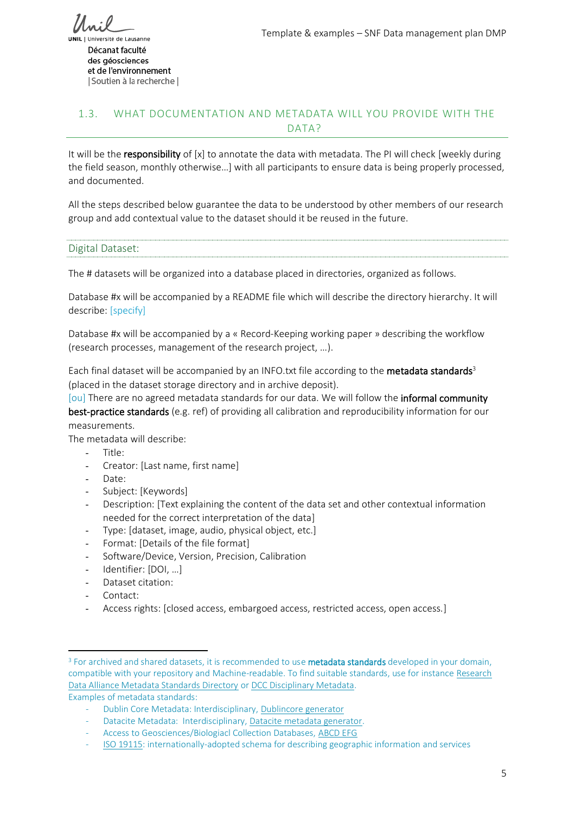ersité de Lausanne Décanat faculté des géosciences et de l'environnement Soutien à la recherche |

### <span id="page-4-0"></span>1.3. WHAT DOCUMENTATION AND METADATA WILL YOU PROVIDE WITH THE DATA?

It will be the responsibility of [x] to annotate the data with metadata. The PI will check [weekly during the field season, monthly otherwise…] with all participants to ensure data is being properly processed, and documented.

All the steps described below guarantee the data to be understood by other members of our research group and add contextual value to the dataset should it be reused in the future.

Digital Dataset:

The # datasets will be organized into a database placed in directories, organized as follows.

Database #x will be accompanied by a README file which will describe the directory hierarchy. It will describe: [specify]

Database #x will be accompanied by a « Record-Keeping working paper » describing the workflow (research processes, management of the research project, …).

Each final dataset will be accompanied by an INFO.txt file according to the metadata standards<sup>3</sup> (placed in the dataset storage directory and in archive deposit).

[ou] There are no agreed metadata standards for our data. We will follow the informal community best-practice standards (e.g. ref) of providing all calibration and reproducibility information for our measurements.

The metadata will describe:

- Title:
- Creator: [Last name, first name]
- Date:
- Subject: [Keywords]
- Description: [Text explaining the content of the data set and other contextual information needed for the correct interpretation of the data]
- Type: [dataset, image, audio, physical object, etc.]
- Format: [Details of the file format]
- Software/Device, Version, Precision, Calibration
- Identifier: [DOI, …]
- Dataset citation:
- Contact:
- Access rights: [closed access, embargoed access, restricted access, open access.]

Examples of metadata standards:

<sup>&</sup>lt;sup>3</sup> For archived and shared datasets, it is recommended to use **metadata standards** developed in your domain, compatible with your repository and Machine-readable. To find suitable standards, use for instance Research [Data Alliance Metadata Standards Directory](http://rd-alliance.github.io/metadata-directory/standards/) or [DCC Disciplinary Metadata.](http://www.dcc.ac.uk/resources/metadata-standards)

<sup>-</sup> Dublin Core Metadata: Interdisciplinary[, Dublincore generator](http://nsteffel.github.io/dublin_core_generator/)

Datacite Metadata: Interdisciplinary, [Datacite metadata generator.](https://doranum.fr/metadonnees-standards-formats/outils-creation-metadonnees/#datacite)

<sup>-</sup> Access to Geosciences/Biologiacl Collection Databases, [ABCD EFG](https://fairsharing.org/bsg-s001323)

<sup>-</sup> [ISO 19115:](http://www.dcc.ac.uk/resources/metadata-standards/iso-19115) internationally-adopted schema for describing geographic information and services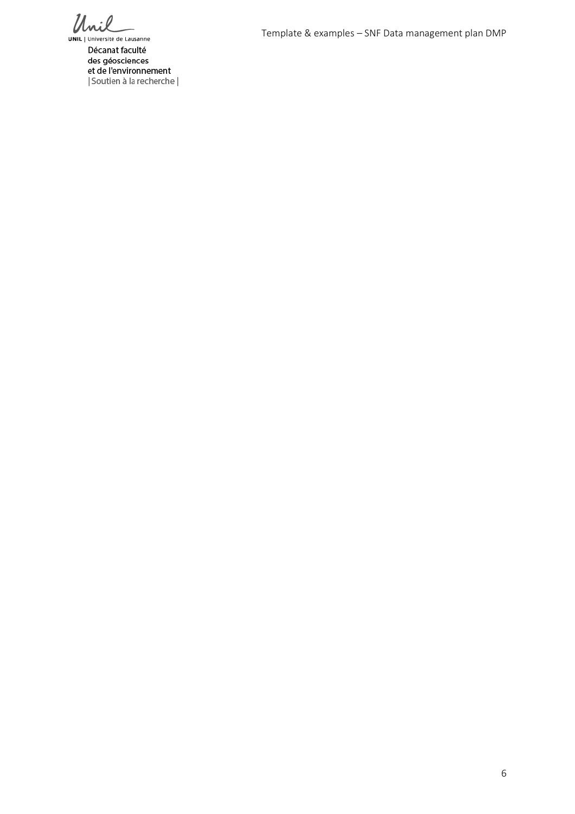Unil

**UNIL** | Université de Lausanne Décanat faculté des géosciences<br>et de l'environnement<br>| Soutien à la recherche | Template & examples – SNF Data management plan DMP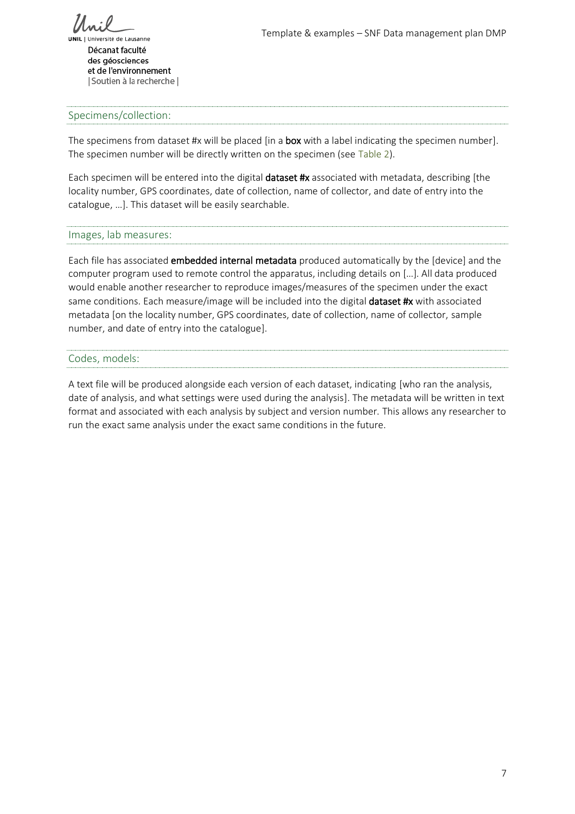niversité de Lausanne Décanat faculté des géosciences et de l'environnement Soutien à la recherche |

#### Specimens/collection:

The specimens from dataset #x will be placed [in a **box** with a label indicating the specimen number]. The specimen number will be directly written on the specimen (see [Table 2\)](#page-2-1).

Each specimen will be entered into the digital dataset #x associated with metadata, describing [the locality number, GPS coordinates, date of collection, name of collector, and date of entry into the catalogue, …]. This dataset will be easily searchable.

#### Images, lab measures:

Each file has associated embedded internal metadata produced automatically by the [device] and the computer program used to remote control the apparatus, including details on […]. All data produced would enable another researcher to reproduce images/measures of the specimen under the exact same conditions. Each measure/image will be included into the digital dataset #x with associated metadata [on the locality number, GPS coordinates, date of collection, name of collector, sample number, and date of entry into the catalogue].

#### Codes, models:

A text file will be produced alongside each version of each dataset, indicating [who ran the analysis, date of analysis, and what settings were used during the analysis]. The metadata will be written in text format and associated with each analysis by subject and version number. This allows any researcher to run the exact same analysis under the exact same conditions in the future.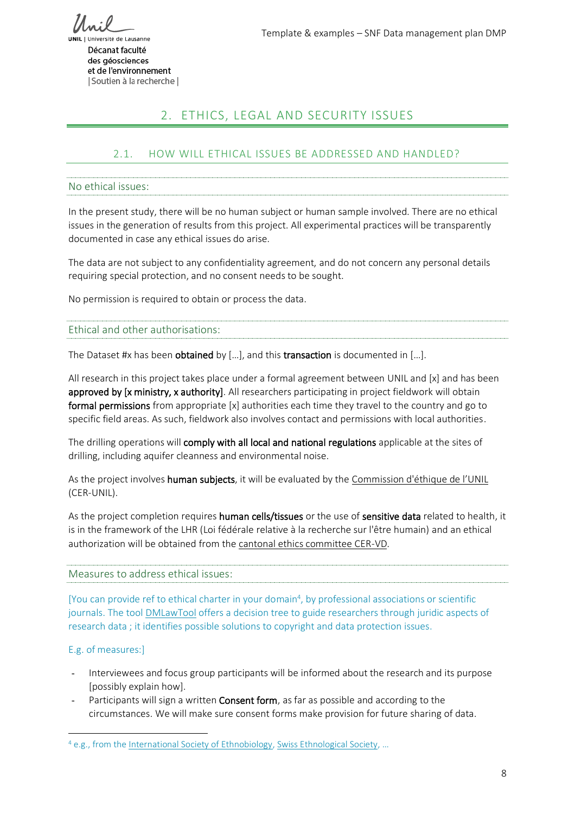ersité de Lausanne Décanat faculté des géosciences et de l'environnement Soutien à la recherche |

# 2. ETHICS, LEGAL AND SECURITY ISSUES

### <span id="page-7-0"></span>2.1. HOW WILL ETHICAL ISSUES BE ADDRESSED AND HANDLED?

#### <span id="page-7-1"></span>No ethical issues:

In the present study, there will be no human subject or human sample involved. There are no ethical issues in the generation of results from this project. All experimental practices will be transparently documented in case any ethical issues do arise.

The data are not subject to any confidentiality agreement, and do not concern any personal details requiring special protection, and no consent needs to be sought.

No permission is required to obtain or process the data.

#### Ethical and other authorisations:

The Dataset #x has been **obtained** by [...], and this transaction is documented in [...].

All research in this project takes place under a formal agreement between UNIL and [x] and has been approved by [x ministry, x authority]. All researchers participating in project fieldwork will obtain formal permissions from appropriate [x] authorities each time they travel to the country and go to specific field areas. As such, fieldwork also involves contact and permissions with local authorities.

The drilling operations will comply with all local and national regulations applicable at the sites of drilling, including aquifer cleanness and environmental noise.

As the project involves human subjects, it will be evaluated by the [Commission d'éthique de l'UNIL](https://www.unil.ch/cerunil/home.html) (CER-UNIL).

As the project completion requires human cells/tissues or the use of sensitive data related to health, it is in the framework of the LHR (Loi fédérale relative à la recherche sur l'être humain) and an ethical authorization will be obtained from the [cantonal ethics committee CER-VD.](http://www.cer-vd.ch/)

#### Measures to address ethical issues:

[You can provide ref to ethical charter in your domain<sup>4</sup>, by professional associations or scientific journals. The tool [DMLawTool](https://dmlawtool.ccdigitallaw.ch/) offers a decision tree to guide researchers through juridic aspects of research data ; it identifies possible solutions to copyright and data protection issues.

#### E.g. of measures:]

- Interviewees and focus group participants will be informed about the research and its purpose [possibly explain how].
- Participants will sign a written Consent form, as far as possible and according to the circumstances. We will make sure consent forms make provision for future sharing of data.

<sup>4</sup> e.g., from the [International Society of Ethnobiology,](http://www.ethnobiology.net/what-we-do/core-programs/ise-ethics-program/code-of-ethics/code-in-english/) [Swiss Ethnological Society,](http://www.seg-sse.ch/pdf/EDDT_Ethical%20Statement_of_the_SES.pdf) …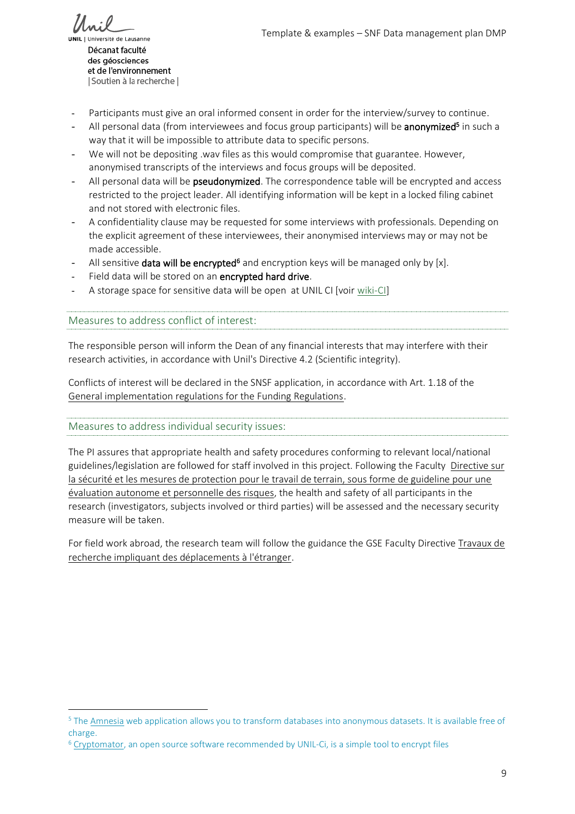Jniversité de Lausanne Décanat faculté des géosciences et de l'environnement Soutien à la recherche |

- Participants must give an oral informed consent in order for the interview/survey to continue.
- All personal data (from interviewees and focus group participants) will be **anonymized<sup>5</sup> in such a** way that it will be impossible to attribute data to specific persons.
- We will not be depositing .wav files as this would compromise that guarantee. However, anonymised transcripts of the interviews and focus groups will be deposited.
- All personal data will be **pseudonymized**. The correspondence table will be encrypted and access restricted to the project leader. All identifying information will be kept in a locked filing cabinet and not stored with electronic files.
- A confidentiality clause may be requested for some interviews with professionals. Depending on the explicit agreement of these interviewees, their anonymised interviews may or may not be made accessible.
- All sensitive **data will be encrypted<sup>6</sup>** and encryption keys will be managed only by [x].
- Field data will be stored on an encrypted hard drive.
- A storage space for sensitive data will be open at UNIL CI [voir [wiki-CI\]](https://wiki.unil.ch/ci/books/service-de-calcul-haute-performance-%28hpc%29/page/how-to-manage-sensitive-data-on-unil-nas)

### Measures to address conflict of interest:

The responsible person will inform the Dean of any financial interests that may interfere with their research activities, in accordance with Unil's Directive 4.2 (Scientific integrity).

Conflicts of interest will be declared in the SNSF application, in accordance with Art. 1.18 of the [General implementation regulations for the Funding Regulations.](http://www.snf.ch/en/funding/documents-downloads/Pages/regulations-general-implementation-regulations.aspx)

#### Measures to address individual security issues:

The PI assures that appropriate health and safety procedures conforming to relevant local/national guidelines/legislation are followed for staff involved in this project. Following the Faculty [Directive sur](http://www.unil.ch/gse/files/live/sites/gse/files/reglements/1718/Directive_terrain_FGSE_tous_defv4.pdf)  [la sécurité et les mesures de protection pour le travail de terrain, sous forme de guideline pour une](http://www.unil.ch/gse/files/live/sites/gse/files/reglements/1718/Directive_terrain_FGSE_tous_defv4.pdf)  [évaluation autonome et personnelle des risques,](http://www.unil.ch/gse/files/live/sites/gse/files/reglements/1718/Directive_terrain_FGSE_tous_defv4.pdf) the health and safety of all participants in the research (investigators, subjects involved or third parties) will be assessed and the necessary security measure will be taken.

For field work abroad, the research team will follow the guidance the GSE Faculty Directive [Travaux de](http://www.unil.ch/gse/files/live/sites/gse/files/reglements/1516/Directive_GSE_terrain_hors_Suisse_2015_def.pdf)  [recherche impliquant des déplacements à l'étranger.](http://www.unil.ch/gse/files/live/sites/gse/files/reglements/1516/Directive_GSE_terrain_hors_Suisse_2015_def.pdf)

<sup>5</sup> Th[e Amnesia](https://amnesia.openaire.eu/index.html) web application allows you to transform databases into anonymous datasets. It is available free of charge.

 $6$  [Cryptomator,](https://cryptomator.org/) an open source software recommended by UNIL-Ci, is a simple tool to encrypt files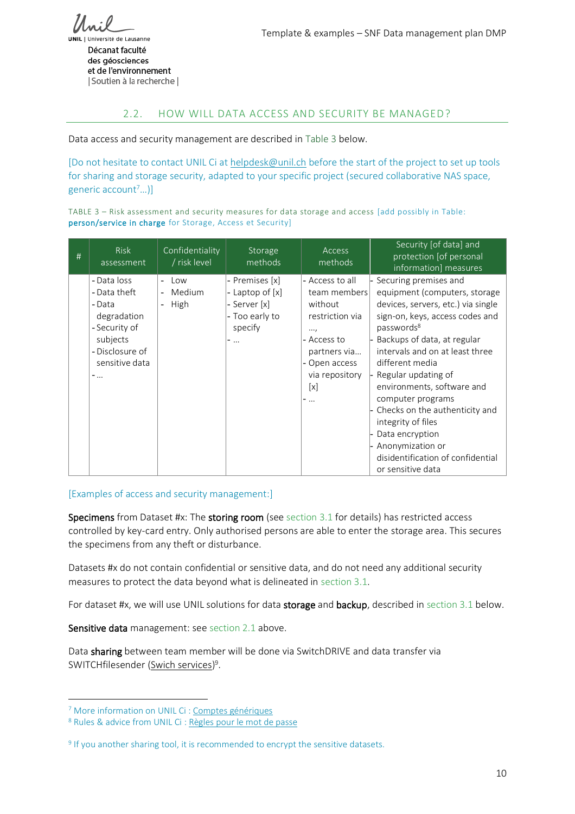ersité de Lausanne Décanat faculté des géosciences et de l'environnement Soutien à la recherche |

#### 2.2. HOW WILL DATA ACCESS AND SECURITY BE MANAGED?

<span id="page-9-0"></span>Data access and security management are described in [Table 3](#page-9-1) below.

[Do not hesitate to contact UNIL Ci at [helpdesk@unil.ch](mailto:helpdesk@unil.ch) before the start of the project to set up tools for sharing and storage security, adapted to your specific project (secured collaborative NAS space, generic account<sup>7</sup>...)]

<span id="page-9-1"></span>TABLE 3 – Risk assessment and security measures for data storage and access [add possibly in Table: person/service in charge for Storage, Access et Security]

| # | <b>Risk</b><br>assessment                                                                                                     | Confidentiality<br>/ risk level   | Storage<br>methods                                                                    | <b>Access</b><br>methods                                                                                                                                | Security [of data] and<br>protection [of personal<br>information] measures                                                                                                                                                                                                                                                                                                                                                                                                        |
|---|-------------------------------------------------------------------------------------------------------------------------------|-----------------------------------|---------------------------------------------------------------------------------------|---------------------------------------------------------------------------------------------------------------------------------------------------------|-----------------------------------------------------------------------------------------------------------------------------------------------------------------------------------------------------------------------------------------------------------------------------------------------------------------------------------------------------------------------------------------------------------------------------------------------------------------------------------|
|   | - Data loss<br>- Data theft<br>- Data<br>degradation<br>- Security of<br>subjects<br>- Disclosure of<br>sensitive data<br>$-$ | Low<br>÷.<br>Medium<br>High<br>÷. | - Premises [x]<br>- Laptop of [x]<br>- Server [x]<br>- Too early to<br>specify<br>$-$ | - Access to all<br>team members<br>without<br>restriction via<br>$\cdots$<br>- Access to<br>partners via<br>- Open access<br>via repository<br>[x]<br>- | Securing premises and<br>equipment (computers, storage<br>devices, servers, etc.) via single<br>sign-on, keys, access codes and<br>passwords <sup>8</sup><br>Backups of data, at regular<br>intervals and on at least three<br>different media<br>Regular updating of<br>environments, software and<br>computer programs<br>Checks on the authenticity and<br>integrity of files<br>Data encryption<br>Anonymization or<br>disidentification of confidential<br>or sensitive data |

#### [Examples of access and security management:]

Specimens from Dataset #x: The storing room (see sectio[n 3.1](#page-11-1) for details) has restricted access controlled by key-card entry. Only authorised persons are able to enter the storage area. This secures the specimens from any theft or disturbance.

Datasets #x do not contain confidential or sensitive data, and do not need any additional security measures to protect the data beyond what is delineated in sectio[n 3.1.](#page-11-1)

For dataset #x, we will use UNIL solutions for data storage and backup, described in sectio[n 3.1](#page-11-1) below.

Sensitive data management: see section [2.1](#page-7-1) above.

Data sharing between team member will be done via SwitchDRIVE and data transfer via SWITCHfilesender [\(Swich services\)](https://wwwfbm.unil.ch/wiki/si/start?id=en:public:documentation:services_switch)<sup>9</sup>.

<sup>7</sup> More information on UNIL Ci [: Comptes génériques](https://www.unil.ch/ci/generiques)

<sup>8</sup> Rules & advice from UNIL Ci [: Règles pour le mot de passe](https://www.unil.ch/ci/lang/fr/pid/89036)

<sup>&</sup>lt;sup>9</sup> If you another sharing tool, it is recommended to encrypt the sensitive datasets.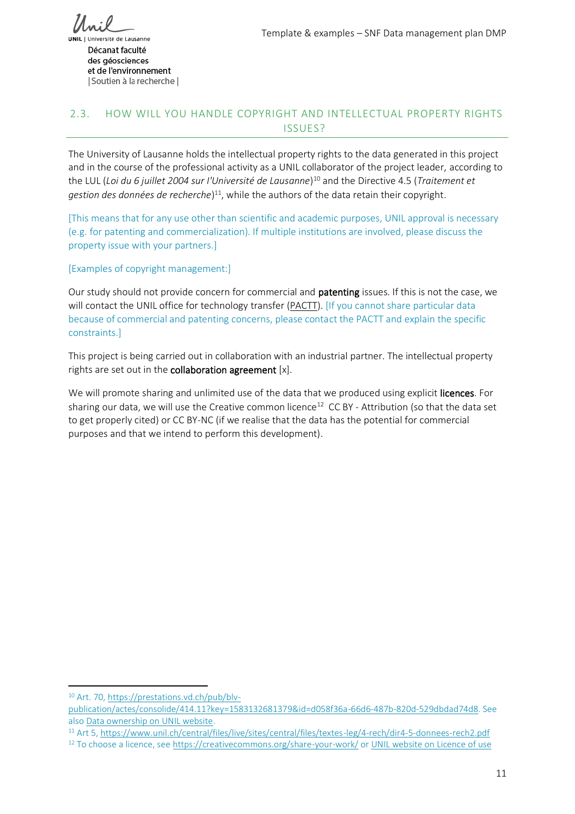versité de Lausanne Décanat faculté des géosciences et de l'environnement Soutien à la recherche |

### <span id="page-10-0"></span>2.3. HOW WILL YOU HANDLE COPYRIGHT AND INTELLECTUAL PROPERTY RIGHTS ISSUES?

The University of Lausanne holds the intellectual property rights to the data generated in this project and in the course of the professional activity as a UNIL collaborator of the project leader, according to the LUL (*Loi du 6 juillet 2004 sur I'Université de Lausanne*) <sup>10</sup> and the Directive 4.5 (*Traitement et*  gestion des données de recherche)<sup>11</sup>, while the authors of the data retain their copyright.

[This means that for any use other than scientific and academic purposes, UNIL approval is necessary (e.g. for patenting and commercialization). If multiple institutions are involved, please discuss the property issue with your partners.]

[Examples of copyright management:]

Our study should not provide concern for commercial and **patenting** issues. If this is not the case, we will contact the UNIL office for technology transfer [\(PACTT\)](https://www.pactt.ch/sample-page/about-pactt/). [If you cannot share particular data because of commercial and patenting concerns, please contact the PACTT and explain the specific constraints.]

This project is being carried out in collaboration with an industrial partner. The intellectual property rights are set out in the collaboration agreement [x].

We will promote sharing and unlimited use of the data that we produced using explicit licences. For sharing our data, we will use the Creative common licence<sup>12</sup> CC BY - Attribution (so that the data set to get properly cited) or CC BY-NC (if we realise that the data has the potential for commercial purposes and that we intend to perform this development).

<sup>10</sup> Art. 70[, https://prestations.vd.ch/pub/blv-](https://prestations.vd.ch/pub/blv-publication/actes/consolide/414.11?key=1583132681379&id=d058f36a-66d6-487b-820d-529dbdad74d8)

[publication/actes/consolide/414.11?key=1583132681379&id=d058f36a-66d6-487b-820d-529dbdad74d8.](https://prestations.vd.ch/pub/blv-publication/actes/consolide/414.11?key=1583132681379&id=d058f36a-66d6-487b-820d-529dbdad74d8) See also [Data ownership on UNIL website.](https://www.unil.ch/openscience/en/home/menuinst/open-research-data/conformite--exigences/propriete-des-donnees-a-lunil.html)

<sup>11</sup> Art 5,<https://www.unil.ch/central/files/live/sites/central/files/textes-leg/4-rech/dir4-5-donnees-rech2.pdf>

<sup>12</sup> To choose a licence, se[e https://creativecommons.org/share-your-work/](https://creativecommons.org/share-your-work/) or [UNIL website on Licence of use](https://www.unil.ch/openscience/en/home/menuinst/open-research-data/conformite--exigences/licences-dutilisation.html)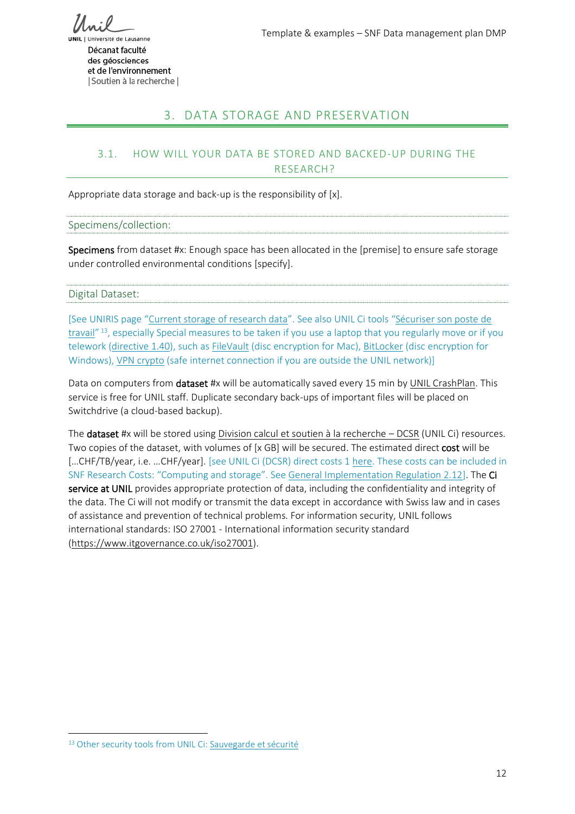versité de Lausanne Décanat faculté des géosciences et de l'environnement Soutien à la recherche |

# 3. DATA STORAGE AND PRESERVATION

### <span id="page-11-1"></span><span id="page-11-0"></span>3.1. HOW WILL YOUR DATA BE STORED AND BACKED-UP DURING THE RESEARCH?

Appropriate data storage and back-up is the responsibility of [x].

#### Specimens/collection:

Specimens from dataset #x: Enough space has been allocated in the [premise] to ensure safe storage under controlled environmental conditions [specify].

#### Digital Dataset:

[See UNIRIS page "[Current storage of research data](https://www.unil.ch/openscience/home/menuinst/open-research-data/gerer-les-donnees-de-recherche-research-data-management/stockage--securite.html)". See also UNIL Ci tools "[Sécuriser son poste de](https://www.unil.ch/ci/home/menuinst/catalogue-de-services/sauvegardes-et-securite/securite-du-poste-de-travail/page-1/securiser-son-poste-de-travail.html)  [travail](https://www.unil.ch/ci/home/menuinst/catalogue-de-services/sauvegardes-et-securite/securite-du-poste-de-travail/page-1/securiser-son-poste-de-travail.html)"<sup>13</sup>, especially Special measures to be taken if you use a laptop that you regularly move or if you telework [\(directive 1.40\)](https://www.unil.ch/central/files/live/sites/central/files/textes-leg/1-ress-hum/dir1-40-teletravail.pdf), such as [FileVault](https://support.apple.com/fr-ch/HT204837) (disc encryption for Mac), [BitLocker](https://support.microsoft.com/fr-fr/help/4028713/windows-10-turn-on-device-encryption) (disc encryption for Windows)[, VPN crypto](https://www.unil.ch/ci/home/menuinst/catalogue-de-services/reseau-et-telephonie/acces-hors-campus-vpn.html) (safe internet connection if you are outside the UNIL network)]

Data on computers from dataset #x will be automatically saved every 15 min by [UNIL CrashPlan.](https://www.unil.ch/ci/fr/home/menuinst/catalogue-de-services/sauvegardes-et-securite/sauvegarde-poste-de-travail.html) This service is free for UNIL staff. Duplicate secondary back-ups of important files will be placed on Switchdrive (a cloud-based backup).

The dataset #x will be stored using [Division calcul et soutien à la recherche](https://www.unil.ch/ci/dcsr) – DCSR (UNIL Ci) resources. Two copies of the dataset, with volumes of [x GB] will be secured. The estimated direct cost will be […CHF/TB/year, i.e. …CHF/year]. [see UNIL Ci (DCSR) direct costs 1 [here.](https://www.unil.ch/ci/home/menuinst/calcul--soutien-recherche/couts-operationnels.html) These costs can be included in SNF Research Costs: "Computing and storage". Se[e General Implementation Regulation 2.12\]](http://www.snf.ch/SiteCollectionDocuments/snsf-general-implementation-regulations-for-the-funding-regulations-e.pdf#%5B%7B%22num%22%3A30%2C%22gen%22%3A0%7D%2C%7B%22name%22%3A%22XYZ%22%7D%2C69%2C167%2C0%5D). The Ci service at UNIL provides appropriate protection of data, including the confidentiality and integrity of the data. The Ci will not modify or transmit the data except in accordance with Swiss law and in cases of assistance and prevention of technical problems. For information security, UNIL follows international standards: ISO 27001 - International information security standard [\(https://www.itgovernance.co.uk/iso27001\)](https://www.itgovernance.co.uk/iso27001).

<sup>13</sup> Other security tools from UNIL Ci: [Sauvegarde et sécurité](https://www.unil.ch/ci/securite)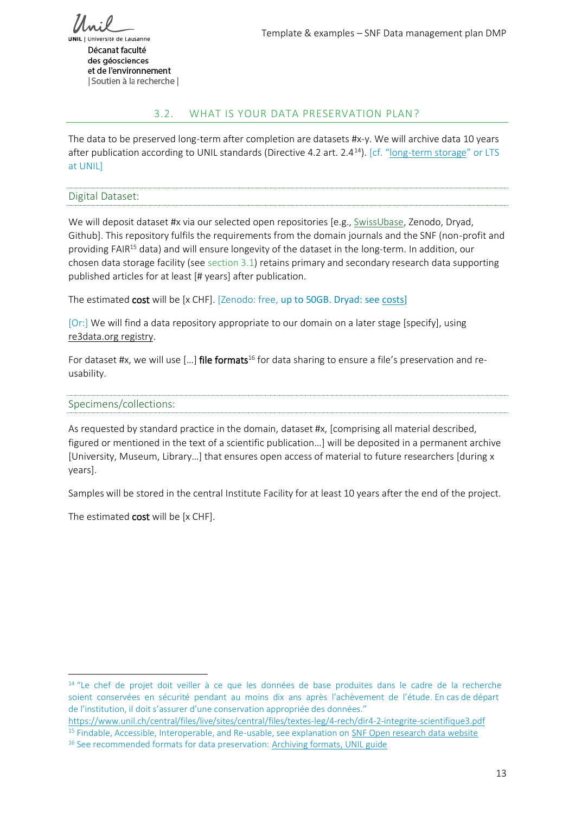rsité de Lausanne Décanat faculté des géosciences et de l'environnement Soutien à la recherche |

### 3.2. WHAT IS YOUR DATA PRESERVATION PLAN?

<span id="page-12-0"></span>The data to be preserved long-term after completion are datasets #x-y. We will archive data 10 years after publication according to UNIL standards (Directive 4.2 art. 2.4<sup>14</sup>). [cf. "[long-term storage](https://www.unil.ch/openscience/home/menuinst/open-research-data/gerer-les-donnees-de-recherche-research-data-management/stockage--securite.html)" or LTS at UNIL]

#### Digital Dataset:

We will deposit dataset #x via our selected open repositories [e.g., [SwissUbase,](https://info.swissubase.ch/) Zenodo, Dryad, Github]. This repository fulfils the requirements from the domain journals and the SNF (non-profit and providing FAIR<sup>15</sup> data) and will ensure longevity of the dataset in the long-term. In addition, our chosen data storage facility (see sectio[n 3.1\)](#page-11-1) retains primary and secondary research data supporting published articles for at least [# years] after publication.

The estimated cost will be [x CHF]. [Zenodo: free, up to 50GB. Dryad: see [costs\]](https://datadryad.org/stash/faq)

[Or:] We will find a data repository appropriate to our domain on a later stage [specify], using [re3data.org registry.](https://www.re3data.org/)

For dataset #x, we will use  $[...]$  file formats<sup>16</sup> for data sharing to ensure a file's preservation and reusability.

#### Specimens/collections:

As requested by standard practice in the domain, dataset #x, [comprising all material described, figured or mentioned in the text of a scientific publication…] will be deposited in a permanent archive [University, Museum, Library…] that ensures open access of material to future researchers [during x years].

Samples will be stored in the central Institute Facility for at least 10 years after the end of the project.

The estimated cost will be [x CHF].

<sup>&</sup>lt;sup>14</sup> "Le chef de projet doit veiller à ce que les données de base produites dans le cadre de la recherche soient conservées en sécurité pendant au moins dix ans après l'achèvement de l'étude. En cas de départ de l'institution, il doit s'assurer d'une conservation appropriée des données."

<https://www.unil.ch/central/files/live/sites/central/files/textes-leg/4-rech/dir4-2-integrite-scientifique3.pdf> <sup>15</sup> Findable, Accessible, Interoperable, and Re-usable, see explanation on SNF [Open research data website](http://www.snf.ch/en/theSNSF/research-policies/open_research_data/Pages/default.aspx#FAIR%20Data%20Principles%20for%20Research%20Data%20Management)

<sup>&</sup>lt;sup>16</sup> See recommended formats for data preservation: [Archiving formats, UNIL guide](https://www.unil.ch/openscience/home/menuinst/open-research-data/gerer-les-donnees-de-recherche-research-data-management/archivage--partage.html)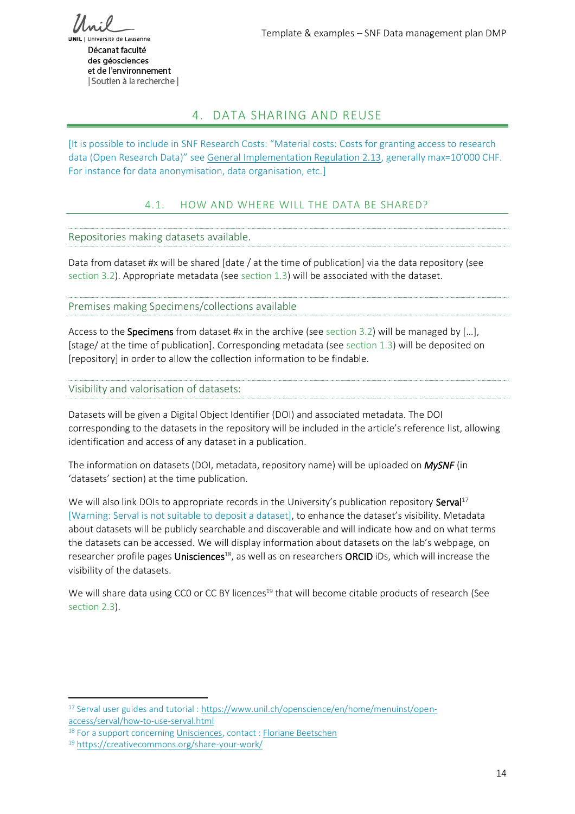ersité de Lausanne Décanat faculté des géosciences et de l'environnement Soutien à la recherche |

# 4. DATA SHARING AND REUSE

<span id="page-13-0"></span>[It is possible to include in SNF Research Costs: "Material costs: Costs for granting access to research data (Open Research Data)" see [General Implementation Regulation 2.13](http://www.snf.ch/SiteCollectionDocuments/snsf-general-implementation-regulations-for-the-funding-regulations-e.pdf#%5B%7B%22num%22%3A32%2C%22gen%22%3A0%7D%2C%7B%22name%22%3A%22XYZ%22%7D%2C140%2C696%2C0%5D), generally max=10'000 CHF. For instance for data anonymisation, data organisation, etc.]

### 4.1. HOW AND WHERE WILL THE DATA BE SHARED?

<span id="page-13-1"></span>Repositories making datasets available.

Data from dataset #x will be shared [date / at the time of publication] via the data repository (see section [3.2\)](#page-12-0). Appropriate metadata (see sectio[n 1.3\)](#page-4-0) will be associated with the dataset.

Premises making Specimens/collections available

Access to the **Specimens** from dataset #x in the archive (see sectio[n 3.2\)](#page-12-0) will be managed by [...], [stage/ at the time of publication]. Corresponding metadata (see sectio[n 1.3\)](#page-4-0) will be deposited on [repository] in order to allow the collection information to be findable.

### Visibility and valorisation of datasets:

Datasets will be given a Digital Object Identifier (DOI) and associated metadata. The DOI corresponding to the datasets in the repository will be included in the article's reference list, allowing identification and access of any dataset in a publication.

The information on datasets (DOI, metadata, repository name) will be uploaded on *MySNF* (in 'datasets' section) at the time publication.

We will also link DOIs to appropriate records in the University's publication repository Serval<sup>17</sup> [Warning: Serval is not suitable to deposit a dataset], to enhance the dataset's visibility. Metadata about datasets will be publicly searchable and discoverable and will indicate how and on what terms the datasets can be accessed. We will display information about datasets on the lab's webpage, on researcher profile pages Unisciences<sup>18</sup>, as well as on researchers ORCID iDs, which will increase the visibility of the datasets.

We will share data using CC0 or CC BY licences<sup>19</sup> that will become citable products of research (See section [2.3\)](#page-10-0).

<sup>&</sup>lt;sup>17</sup> Serval user guides and tutorial : [https://www.unil.ch/openscience/en/home/menuinst/open](https://www.unil.ch/openscience/en/home/menuinst/open-access/serval/how-to-use-serval.html)[access/serval/how-to-use-serval.html](https://www.unil.ch/openscience/en/home/menuinst/open-access/serval/how-to-use-serval.html)

<sup>&</sup>lt;sup>18</sup> For a support concernin[g Unisciences,](https://www.unil.ch/unisciences) contact : [Floriane Beetschen](javascript:void(location.href=)

<sup>19</sup> <https://creativecommons.org/share-your-work/>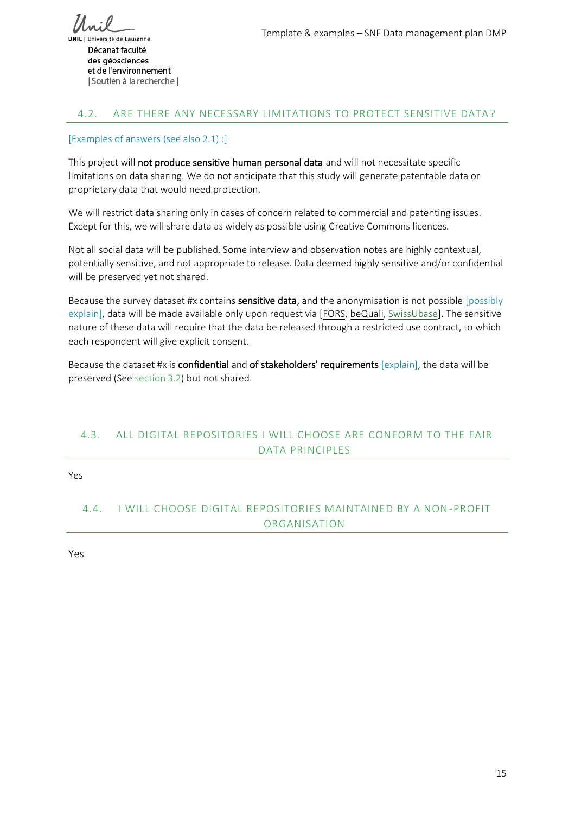niversité de Lausanne Décanat faculté des géosciences et de l'environnement Soutien à la recherche |

### <span id="page-14-0"></span>4.2. ARE THERE ANY NECESSARY LIMITATIONS TO PROTECT SENSITIVE DATA?

### [Examples of answers (see als[o 2.1\)](#page-7-1) :]

This project will not produce sensitive human personal data and will not necessitate specific limitations on data sharing. We do not anticipate that this study will generate patentable data or proprietary data that would need protection.

We will restrict data sharing only in cases of concern related to commercial and patenting issues. Except for this, we will share data as widely as possible using Creative Commons licences.

Not all social data will be published. Some interview and observation notes are highly contextual, potentially sensitive, and not appropriate to release. Data deemed highly sensitive and/or confidential will be preserved yet not shared.

Because the survey dataset #x contains **sensitive data**, and the anonymisation is not possible [possibly explain], data will be made available only upon request via [\[FORS,](https://forscenter.ch/) [beQuali,](https://bequali.fr/fr/propos/) [SwissUbase\]](https://info.swissubase.ch/). The sensitive nature of these data will require that the data be released through a restricted use contract, to which each respondent will give explicit consent.

Because the dataset #x is confidential and of stakeholders' requirements [explain], the data will be preserved (See sectio[n 3.2\)](#page-12-0) but not shared.

# <span id="page-14-1"></span>4.3. ALL DIGITAL REPOSITORIES I WILL CHOOSE ARE CONFORM TO THE FAIR DATA PRINCIPLES

Yes

# <span id="page-14-2"></span>4.4. I WILL CHOOSE DIGITAL REPOSITORIES MAINTAINED BY A NON-PROFIT ORGANISATION

Yes